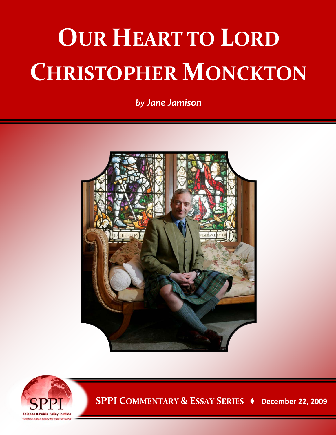## **OUR HEART TO LORD CHRISTOPHER MONCKTON**

*by Jane Jamison*





**SPPI COMMENTARY & ESSAY SERIES ♦ December 22, 2009**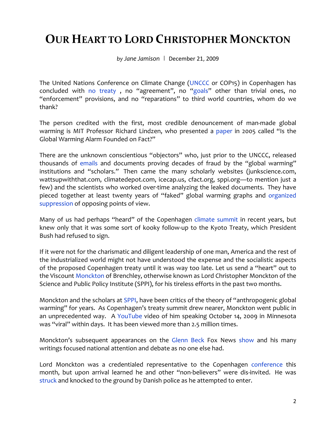## **OUR HEART TO LORD CHRISTOPHER MONCKTON**

*by Jane Jamison* | December 21, 2009

The United Nations Conference on Climate Change [\(UNCCC](http://en.cop15.dk/) or COP15) in Copenhagen has concluded with [no treaty](http://www.guardian.co.uk/environment/2009/dec/20/ed-miliband-china-copenhagen-summit), no "agreement", no ["goals"](http://www.guardian.co.uk/environment/2009/dec/21/copenhagen-treaty-gordon-brown) other than trivial ones, no "enforcement" provisions, and no "reparations" to third world countries, whom do we thank?

The person credited with the first, most credible denouncement of man-made global warming is MIT Professor Richard Lindzen, who presented a [paper](http://www-eaps.mit.edu/faculty/lindzen/222_Exchange.pdf) in 2005 called "Is the Global Warming Alarm Founded on Fact?"

There are the unknown conscientious "objectors" who, just prior to the UNCCC, released thousands of [emails](http://www.eastangliaemails.com/index.php) and documents proving decades of fraud by the "global warming" institutions and "scholars." Then came the many scholarly websites (junkscience.com, wattsupwiththat.com, climatedepot.com, icecap.us, cfact.org, sppi.org—to mention just a few) and the scientists who worked over-time analyzing the leaked documents. They have pieced together at least twenty years of "faked" global warming graphs and [organized](http://www.americanthinker.com/blog/2009/12/our_heart_to_lord_christopher.html) [suppression](http://sppiblog.org/news/how-ipcc-scientists-interfere-with-publication-of-inconvenient-scientific-results) of opposing points of view.

Many of us had perhaps "heard" of the Copenhagen [climate summit](http://www.americanthinker.com/blog/2009/12/our_heart_to_lord_christopher.html) in recent years, but knew only that it was some sort of kooky follow-up to the Kyoto Treaty, which President Bush had refused to sign.

If it were not for the charismatic and diligent leadership of one man, America and the rest of the industrialized world might not have understood the expense and the socialistic aspects of the proposed Copenhagen treaty until it was way too late. Let us send a "heart" out to the Viscount [Monckton](http://www.globalwarmingheartland.com/expert.cfm?expertId=349) of Brenchley, otherwise known as Lord Christopher Monckton of the Science and Public Policy Institute (SPPI), for his tireless efforts in the past two months.

Monckton and the scholars at [SPPI,](http://scienceandpublicpolicy.org/) have been critics of the theory of "anthropogenic global warming" for years. As Copenhagen's treaty summit drew nearer, Monckton went public in an unprecedented way. A [YouTube v](http://www.youtube.com/watch?v=PMe5dOgbu40)ideo of him speaking October 14, 2009 in Minnesota was "viral" within days. It has been viewed more than 2.5 million times.

Monckton's subsequent appearances on the [Glenn](http://www.youtube.com/watch?v=zEzXGSYI1Yo&feature=response_watch) [Beck](http://www.youtube.com/watch?v=a7dhgP117Xg&feature=related) Fox News [show](http://www.youtube.com/watch?v=8bLUEMWicyo&feature=related) and his many writings focused national attention and debate as no one else had.

Lord Monckton was a credentialed representative to the Copenhagen [conference](http://www.americanthinker.com/blog/2009/12/our_heart_to_lord_christopher.html) this month, but upon arrival learned he and other "non-believers" were dis-invited. He was [struck](http://sppiblog.org/news/possible-copenhagen-agreement-announced#more-299) and knocked to the ground by Danish police as he attempted to enter.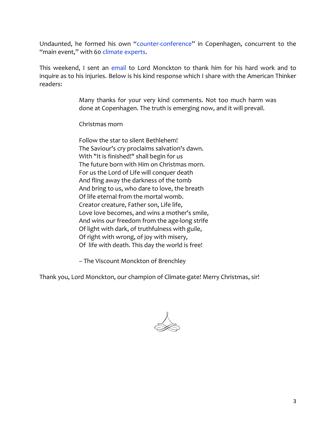Undaunted, he formed his own ["counter-conference"](http://www.cfact.org/a/1655/CFACT-arrives-in-Copenhagen) in Copenhagen, concurrent to the "main event," with 60 [climate experts.](http://www.americanthinker.com/blog/2009/12/our_heart_to_lord_christopher.html)

This weekend, I sent an [email](http://www.americanthinker.com/blog/2009/12/our_heart_to_lord_christopher.html) to Lord Monckton to thank him for his hard work and to inquire as to his injuries. Below is his kind response which I share with the American Thinker readers:

> Many thanks for your very kind comments. Not too much harm was done at Copenhagen. The truth is emerging now, and it will prevail.

Christmas morn

Follow the star to silent Bethlehem! The Saviour's cry proclaims salvation's dawn. With "It is finished!" shall begin for us The future born with Him on Christmas morn. For us the Lord of Life will conquer death And fling away the darkness of the tomb And bring to us, who dare to love, the breath Of life eternal from the mortal womb. Creator creature, Father son, Life life, Love love becomes, and wins a mother's smile, And wins our freedom from the age-long strife Of light with dark, of truthfulness with guile, Of right with wrong, of joy with misery, Of life with death. This day the world is free!

– The Viscount Monckton of Brenchley

Thank you, Lord Monckton, our champion of Climate-gate! Merry Christmas, sir!